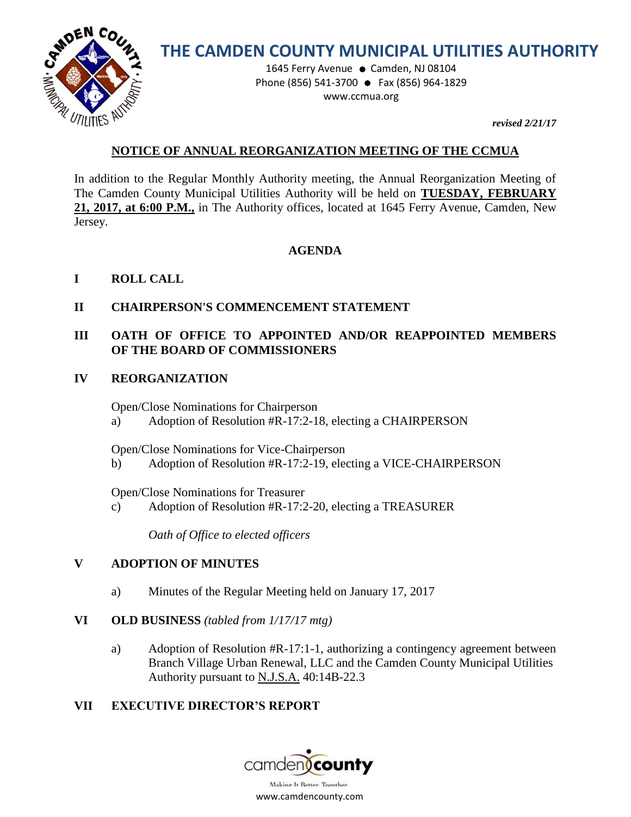

# **THE CAMDEN COUNTY MUNICIPAL UTILITIES AUTHORITY**

1645 Ferry Avenue · Camden, NJ 08104 Phone (856) 541-3700 ● Fax (856) 964-1829 www.ccmua.org

*revised 2/21/17* 

# **NOTICE OF ANNUAL REORGANIZATION MEETING OF THE CCMUA**

In addition to the Regular Monthly Authority meeting, the Annual Reorganization Meeting of The Camden County Municipal Utilities Authority will be held on **TUESDAY, FEBRUARY 21, 2017, at 6:00 P.M.,** in The Authority offices, located at 1645 Ferry Avenue, Camden, New Jersey.

#### **AGENDA**

# **I ROLL CALL**

# **II CHAIRPERSON'S COMMENCEMENT STATEMENT**

# **III OATH OF OFFICE TO APPOINTED AND/OR REAPPOINTED MEMBERS OF THE BOARD OF COMMISSIONERS**

#### **IV REORGANIZATION**

Open/Close Nominations for Chairperson

a) Adoption of Resolution #R-17:2-18, electing a CHAIRPERSON

Open/Close Nominations for Vice-Chairperson

b) Adoption of Resolution #R-17:2-19, electing a VICE-CHAIRPERSON

Open/Close Nominations for Treasurer

c) Adoption of Resolution #R-17:2-20, electing a TREASURER

*Oath of Office to elected officers*

#### **V ADOPTION OF MINUTES**

a) Minutes of the Regular Meeting held on January 17, 2017

#### **VI OLD BUSINESS** *(tabled from 1/17/17 mtg)*

a) Adoption of Resolution #R-17:1-1, authorizing a contingency agreement between Branch Village Urban Renewal, LLC and the Camden County Municipal Utilities Authority pursuant to N.J.S.A. 40:14B-22.3

#### **VII EXECUTIVE DIRECTOR'S REPORT**

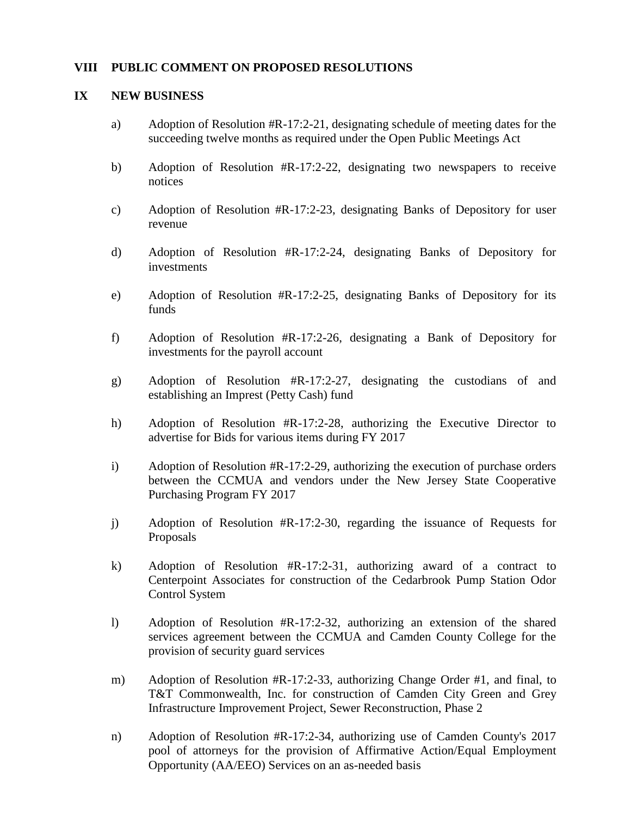#### **VIII PUBLIC COMMENT ON PROPOSED RESOLUTIONS**

#### **IX NEW BUSINESS**

- a) Adoption of Resolution  $\#R-17:2-21$ , designating schedule of meeting dates for the succeeding twelve months as required under the Open Public Meetings Act
- b) Adoption of Resolution #R-17:2-22, designating two newspapers to receive notices
- c) Adoption of Resolution #R-17:2-23, designating Banks of Depository for user revenue
- d) Adoption of Resolution #R-17:2-24, designating Banks of Depository for investments
- e) Adoption of Resolution #R-17:2-25, designating Banks of Depository for its funds
- f) Adoption of Resolution #R-17:2-26, designating a Bank of Depository for investments for the payroll account
- g) Adoption of Resolution #R-17:2-27, designating the custodians of and establishing an Imprest (Petty Cash) fund
- h) Adoption of Resolution #R-17:2-28, authorizing the Executive Director to advertise for Bids for various items during FY 2017
- i) Adoption of Resolution #R-17:2-29, authorizing the execution of purchase orders between the CCMUA and vendors under the New Jersey State Cooperative Purchasing Program FY 2017
- j) Adoption of Resolution #R-17:2-30, regarding the issuance of Requests for Proposals
- k) Adoption of Resolution #R-17:2-31, authorizing award of a contract to Centerpoint Associates for construction of the Cedarbrook Pump Station Odor Control System
- l) Adoption of Resolution #R-17:2-32, authorizing an extension of the shared services agreement between the CCMUA and Camden County College for the provision of security guard services
- m) Adoption of Resolution #R-17:2-33, authorizing Change Order #1, and final, to T&T Commonwealth, Inc. for construction of Camden City Green and Grey Infrastructure Improvement Project, Sewer Reconstruction, Phase 2
- n) Adoption of Resolution #R-17:2-34, authorizing use of Camden County's 2017 pool of attorneys for the provision of Affirmative Action/Equal Employment Opportunity (AA/EEO) Services on an as-needed basis